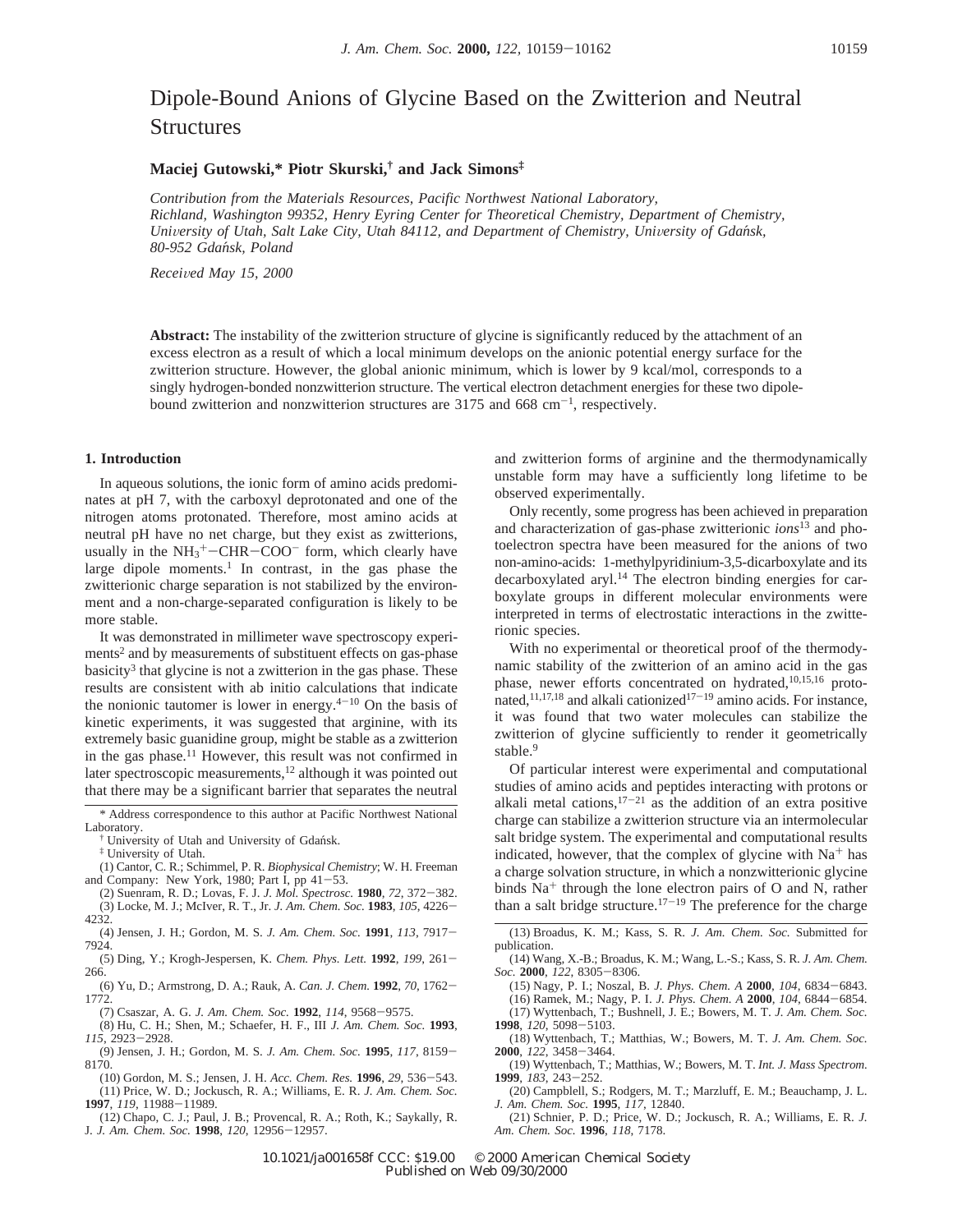# Dipole-Bound Anions of Glycine Based on the Zwitterion and Neutral **Structures**

### **Maciej Gutowski,\* Piotr Skurski,† and Jack Simons‡**

*Contribution from the Materials Resources, Pacific Northwest National Laboratory, Richland, Washington 99352, Henry Eyring Center for Theoretical Chemistry, Department of Chemistry, University of Utah, Salt Lake City, Utah 84112, and Department of Chemistry, University of Gdańsk, 80-952 Gdan*´*sk, Poland*

*Recei*V*ed May 15, 2000*

**Abstract:** The instability of the zwitterion structure of glycine is significantly reduced by the attachment of an excess electron as a result of which a local minimum develops on the anionic potential energy surface for the zwitterion structure. However, the global anionic minimum, which is lower by 9 kcal/mol, corresponds to a singly hydrogen-bonded nonzwitterion structure. The vertical electron detachment energies for these two dipolebound zwitterion and nonzwitterion structures are  $3175$  and  $668 \text{ cm}^{-1}$ , respectively.

## **1. Introduction**

In aqueous solutions, the ionic form of amino acids predominates at pH 7, with the carboxyl deprotonated and one of the nitrogen atoms protonated. Therefore, most amino acids at neutral pH have no net charge, but they exist as zwitterions, usually in the  $NH_3^+$ -CHR-COO<sup>-</sup> form, which clearly have<br>large dipole moments<sup>1</sup>. In contrast, in the gas phase the large dipole moments.<sup>1</sup> In contrast, in the gas phase the zwitterionic charge separation is not stabilized by the environment and a non-charge-separated configuration is likely to be more stable.

It was demonstrated in millimeter wave spectroscopy experiments<sup>2</sup> and by measurements of substituent effects on gas-phase  $basicity<sup>3</sup>$  that glycine is not a zwitterion in the gas phase. These results are consistent with ab initio calculations that indicate the nonionic tautomer is lower in energy. $4^{-10}$  On the basis of kinetic experiments, it was suggested that arginine, with its extremely basic guanidine group, might be stable as a zwitterion in the gas phase.<sup>11</sup> However, this result was not confirmed in later spectroscopic measurements,<sup>12</sup> although it was pointed out that there may be a significant barrier that separates the neutral

- (1) Cantor, C. R.; Schimmel, P. R. *Biophysical Chemistry*; W. H. Freeman and Company: New York, 1980; Part I, pp 41-53.
- (2) Suenram, R. D.; Lovas, F. J. *J. Mol. Spectrosc.* **<sup>1980</sup>**, *<sup>72</sup>*, 372-382. (3) Locke, M. J.; McIver, R. T., Jr. *J. Am. Chem. Soc.* **<sup>1983</sup>**, *<sup>105</sup>*, 4226- 4232.
- (4) Jensen, J. H.; Gordon, M. S. *J. Am. Chem. Soc.* **<sup>1991</sup>**, *<sup>113</sup>*, 7917- 7924.
- (5) Ding, Y.; Krogh-Jespersen, K. *Chem. Phys. Lett.* **<sup>1992</sup>**, *<sup>199</sup>*, 261- 266.
- (6) Yu, D.; Armstrong, D. A.; Rauk, A. *Can. J. Chem.* **<sup>1992</sup>**, *<sup>70</sup>*, 1762- 1772.
- (7) Csaszar, A. G. *J. Am. Chem. Soc.* **<sup>1992</sup>**, *<sup>114</sup>*, 9568-9575.
- (8) Hu, C. H.; Shen, M.; Schaefer, H. F., III *J. Am. Chem. Soc.* **1993**, *<sup>115</sup>*, 2923-2928.
- (9) Jensen, J. H.; Gordon, M. S. *J. Am. Chem. Soc.* **<sup>1995</sup>**, *<sup>117</sup>*, 8159- 8170.

(10) Gordon, M. S.; Jensen, J. H. *Acc. Chem. Res.* **<sup>1996</sup>**, *<sup>29</sup>*, 536-543. (11) Price, W. D.; Jockusch, R. A.; Williams, E. R. *J. Am. Chem. Soc.* **<sup>1997</sup>**, *<sup>119</sup>*, 11988-11989.

(12) Chapo, C. J.; Paul, J. B.; Provencal, R. A.; Roth, K.; Saykally, R.

J. *J. Am. Chem. Soc.* **<sup>1998</sup>**, *<sup>120</sup>*, 12956-12957.

and zwitterion forms of arginine and the thermodynamically unstable form may have a sufficiently long lifetime to be observed experimentally.

Only recently, some progress has been achieved in preparation and characterization of gas-phase zwitterionic *ions*<sup>13</sup> and photoelectron spectra have been measured for the anions of two non-amino-acids: 1-methylpyridinium-3,5-dicarboxylate and its decarboxylated aryl.<sup>14</sup> The electron binding energies for carboxylate groups in different molecular environments were interpreted in terms of electrostatic interactions in the zwitterionic species.

With no experimental or theoretical proof of the thermodynamic stability of the zwitterion of an amino acid in the gas phase, newer efforts concentrated on hydrated,<sup>10,15,16</sup> protonated,<sup>11,17,18</sup> and alkali cationized<sup>17-19</sup> amino acids. For instance, it was found that two water molecules can stabilize the zwitterion of glycine sufficiently to render it geometrically stable.<sup>9</sup>

Of particular interest were experimental and computational studies of amino acids and peptides interacting with protons or alkali metal cations, $17-21$  as the addition of an extra positive charge can stabilize a zwitterion structure via an intermolecular salt bridge system. The experimental and computational results indicated, however, that the complex of glycine with  $Na<sup>+</sup>$  has a charge solvation structure, in which a nonzwitterionic glycine binds  $Na<sup>+</sup>$  through the lone electron pairs of O and N, rather than a salt bridge structure.<sup>17-19</sup> The preference for the charge

- (13) Broadus, K. M.; Kass, S. R. *J. Am. Chem. Soc.* Submitted for publication.
- (14) Wang, X.-B.; Broadus, K. M.; Wang, L.-S.; Kass, S. R. *J. Am. Chem. Soc.* **<sup>2000</sup>**, *<sup>122</sup>*, 8305-8306.
- (15) Nagy, P. I.; Noszal, B. *J. Phys. Chem. A* **<sup>2000</sup>**, *<sup>104</sup>*, 6834-6843. (16) Ramek, M.; Nagy, P. I. *J. Phys. Chem. A* **<sup>2000</sup>**, *<sup>104</sup>*, 6844-6854.
- (17) Wyttenbach, T.; Bushnell, J. E.; Bowers, M. T. *J. Am. Chem. Soc.* **<sup>1998</sup>**, *<sup>120</sup>*, 5098-5103.
- (18) Wyttenbach, T.; Matthias, W.; Bowers, M. T. *J. Am. Chem. Soc.* **<sup>2000</sup>**, *<sup>122</sup>*, 3458-3464.
- (19) Wyttenbach, T.; Matthias, W.; Bowers, M. T. *Int. J. Mass Spectrom.* **<sup>1999</sup>**, *<sup>183</sup>*, 243-252.
- (20) Campblell, S.; Rodgers, M. T.; Marzluff, E. M.; Beauchamp, J. L. *J. Am. Chem. Soc.* **1995**, *117*, 12840.
- (21) Schnier, P. D.; Price, W. D.; Jockusch, R. A.; Williams, E. R. *J. Am. Chem. Soc.* **1996**, *118*, 7178.

10.1021/ja001658f CCC: \$19.00 © 2000 American Chemical Society Published on Web 09/30/2000

<sup>\*</sup> Address correspondence to this author at Pacific Northwest National Laboratory.

<sup>†</sup> University of Utah and University of Gdan´sk.

<sup>‡</sup> University of Utah.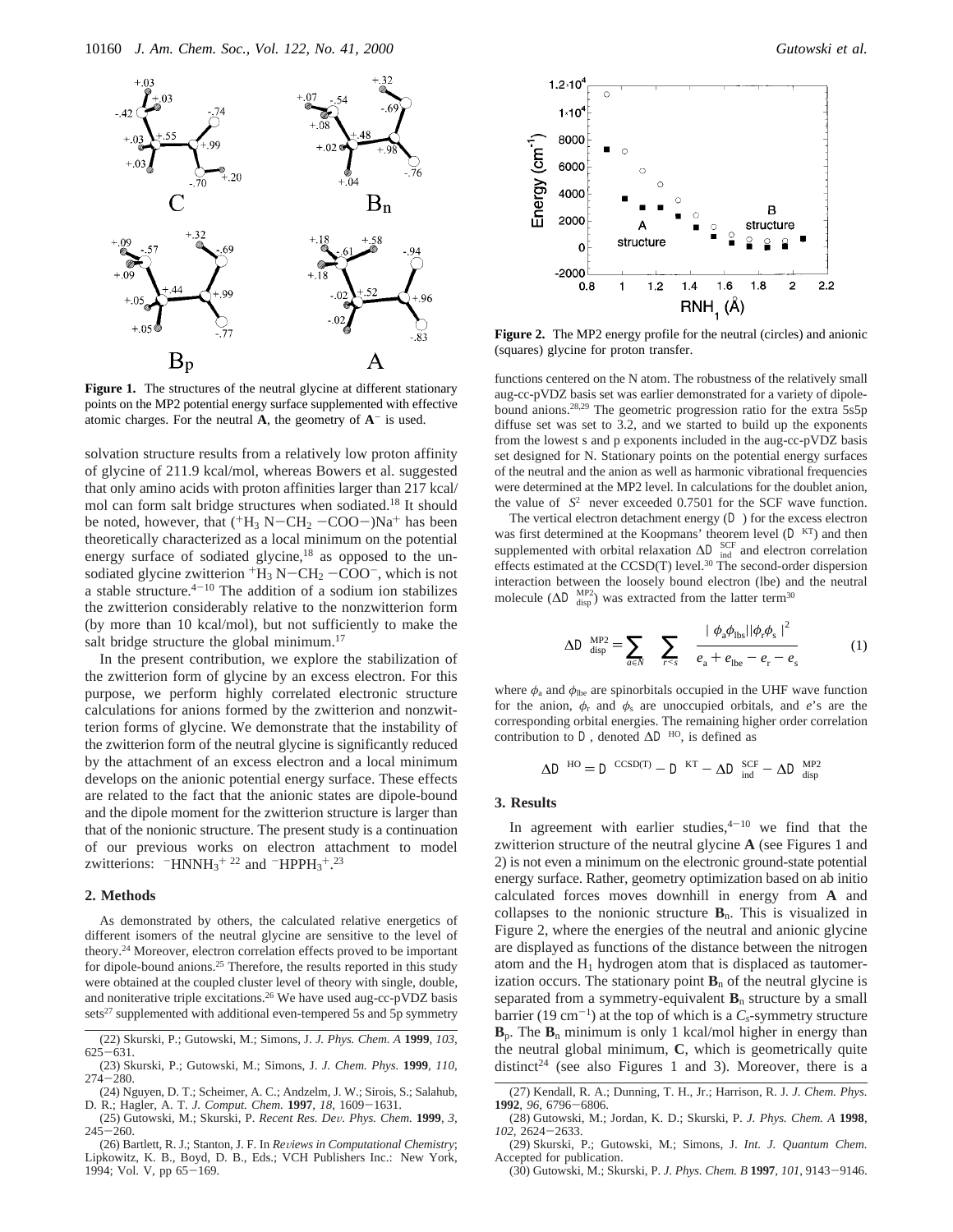

Figure 1. The structures of the neutral glycine at different stationary points on the MP2 potential energy surface supplemented with effective atomic charges. For the neutral  $\bf{A}$ , the geometry of  $\bf{A}^-$  is used.

solvation structure results from a relatively low proton affinity of glycine of 211.9 kcal/mol, whereas Bowers et al. suggested that only amino acids with proton affinities larger than 217 kcal/ mol can form salt bridge structures when sodiated.18 It should be noted, however, that  $(^{+}H_3 N-CH_2 -COO-)Na^{+}$  has been theoretically characterized as a local minimum on the potential energy surface of sodiated glycine,<sup>18</sup> as opposed to the unsodiated glycine zwitterion  $H_3 N-CH_2 -COO^-$ , which is not<br>a stable structure  $4^{-10}$  The addition of a sodium ion stabilizes a stable structure. $4-10$  The addition of a sodium ion stabilizes the zwitterion considerably relative to the nonzwitterion form (by more than 10 kcal/mol), but not sufficiently to make the salt bridge structure the global minimum.<sup>17</sup>

In the present contribution, we explore the stabilization of the zwitterion form of glycine by an excess electron. For this purpose, we perform highly correlated electronic structure calculations for anions formed by the zwitterion and nonzwitterion forms of glycine. We demonstrate that the instability of the zwitterion form of the neutral glycine is significantly reduced by the attachment of an excess electron and a local minimum develops on the anionic potential energy surface. These effects are related to the fact that the anionic states are dipole-bound and the dipole moment for the zwitterion structure is larger than that of the nonionic structure. The present study is a continuation of our previous works on electron attachment to model zwitterions:  $-HNNH_3$ <sup>+22</sup> and  $-HPPH_3$ <sup>+</sup>.<sup>23</sup>

#### **2. Methods**

As demonstrated by others, the calculated relative energetics of different isomers of the neutral glycine are sensitive to the level of theory.24 Moreover, electron correlation effects proved to be important for dipole-bound anions.<sup>25</sup> Therefore, the results reported in this study were obtained at the coupled cluster level of theory with single, double, and noniterative triple excitations.<sup>26</sup> We have used aug-cc-pVDZ basis sets<sup>27</sup> supplemented with additional even-tempered 5s and 5p symmetry



**Figure 2.** The MP2 energy profile for the neutral (circles) and anionic (squares) glycine for proton transfer.

functions centered on the N atom. The robustness of the relatively small aug-cc-pVDZ basis set was earlier demonstrated for a variety of dipolebound anions.28,29 The geometric progression ratio for the extra 5s5p diffuse set was set to 3.2, and we started to build up the exponents from the lowest s and p exponents included in the aug-cc-pVDZ basis set designed for N. Stationary points on the potential energy surfaces of the neutral and the anion as well as harmonic vibrational frequencies were determined at the MP2 level. In calculations for the doublet anion, the value of  $\langle S^2 \rangle$  never exceeded 0.7501 for the SCF wave function.

The vertical electron detachment energy  $(D)$  for the excess electron was first determined at the Koopmans' theorem level  $(\mathcal{D}^{KT})$  and then supplemented with orbital relaxation  $\Delta \mathcal{D}_{ind}^{SCF}$  and electron correlation effects estimated at the  $CCSD(T)$  level.<sup>30</sup> The second-order dispersion interaction between the loosely bound electron (lbe) and the neutral molecule ( $\Delta \mathcal{D}_{\text{disp}}^{\text{MP2}}$ ) was extracted from the latter term<sup>30</sup>

$$
\Delta \mathcal{D}_{\text{disp}}^{\text{MP2}} = \sum_{a \in N} \sum_{r < s} \frac{|\langle \phi_a \phi_{\text{hbs}} | |\phi_r \phi_s \rangle|^2}{e_a + e_{\text{lbe}} - e_r - e_s} \tag{1}
$$

where  $\phi_a$  and  $\phi_{\text{lbe}}$  are spinorbitals occupied in the UHF wave function for the anion,  $\phi_r$  and  $\phi_s$  are unoccupied orbitals, and *e*'s are the corresponding orbital energies. The remaining higher order correlation contribution to  $\mathcal{D}$ , denoted  $\Delta \mathcal{D}^{HO}$ , is defined as

 $\Delta \mathcal{D}^{\text{HO}} = \mathcal{D}^{\text{CCSD(T)}} - \mathcal{D}^{\text{KT}} - \Delta \mathcal{D}_{\text{ind}}^{\text{SCF}} - \Delta \mathcal{D}_{\text{disp}}^{\text{MP2}}$ 

#### **3. Results**

In agreement with earlier studies, $4^{-10}$  we find that the zwitterion structure of the neutral glycine **A** (see Figures 1 and 2) is not even a minimum on the electronic ground-state potential energy surface. Rather, geometry optimization based on ab initio calculated forces moves downhill in energy from **A** and collapses to the nonionic structure  $B_n$ . This is visualized in Figure 2, where the energies of the neutral and anionic glycine are displayed as functions of the distance between the nitrogen atom and the  $H_1$  hydrogen atom that is displaced as tautomerization occurs. The stationary point  $\mathbf{B}_n$  of the neutral glycine is separated from a symmetry-equivalent  $\mathbf{B}_n$  structure by a small barrier (19 cm<sup>-1</sup>) at the top of which is a  $C_s$ -symmetry structure  $\mathbf{B}_p$ . The  $\mathbf{B}_n$  minimum is only 1 kcal/mol higher in energy than the neutral global minimum, **C**, which is geometrically quite distinct<sup>24</sup> (see also Figures 1 and 3). Moreover, there is a

<sup>(22)</sup> Skurski, P.; Gutowski, M.; Simons, J. *J. Phys. Chem. A* **1999**, *103*, <sup>625</sup>-631.

<sup>(23)</sup> Skurski, P.; Gutowski, M.; Simons, J. *J. Chem. Phys.* **1999**, *110*,  $274 - 280.$ 

<sup>(24)</sup> Nguyen, D. T.; Scheimer, A. C.; Andzelm, J. W.; Sirois, S.; Salahub, D. R.; Hagler, A. T. *J. Comput. Chem.* **<sup>1997</sup>**, *<sup>18</sup>*, 1609-1631.

<sup>(25)</sup> Gutowski, M.; Skurski, P. *Recent Res. De*V*. Phys. Chem.* **<sup>1999</sup>**, *<sup>3</sup>*,  $245 - 260$ .

<sup>(26)</sup> Bartlett, R. J.; Stanton, J. F. In *Reviews in Computational Chemistry*; Lipkowitz, K. B., Boyd, D. B., Eds.; VCH Publishers Inc.: New York,  $1994$ ; Vol. V, pp  $65-169$ .

<sup>(27)</sup> Kendall, R. A.; Dunning, T. H., Jr.; Harrison, R. J. *J. Chem. Phys.* **<sup>1992</sup>**, *<sup>96</sup>*, 6796-6806.

<sup>(28)</sup> Gutowski, M.; Jordan, K. D.; Skurski, P. *J. Phys. Chem. A* **1998**, *<sup>102</sup>*, 2624-2633. (29) Skurski, P.; Gutowski, M.; Simons, J. *Int. J. Quantum Chem.*

Accepted for publication.

<sup>(30)</sup> Gutowski, M.; Skurski, P. *J. Phys. Chem. B* **<sup>1997</sup>**, *<sup>101</sup>*, 9143-9146.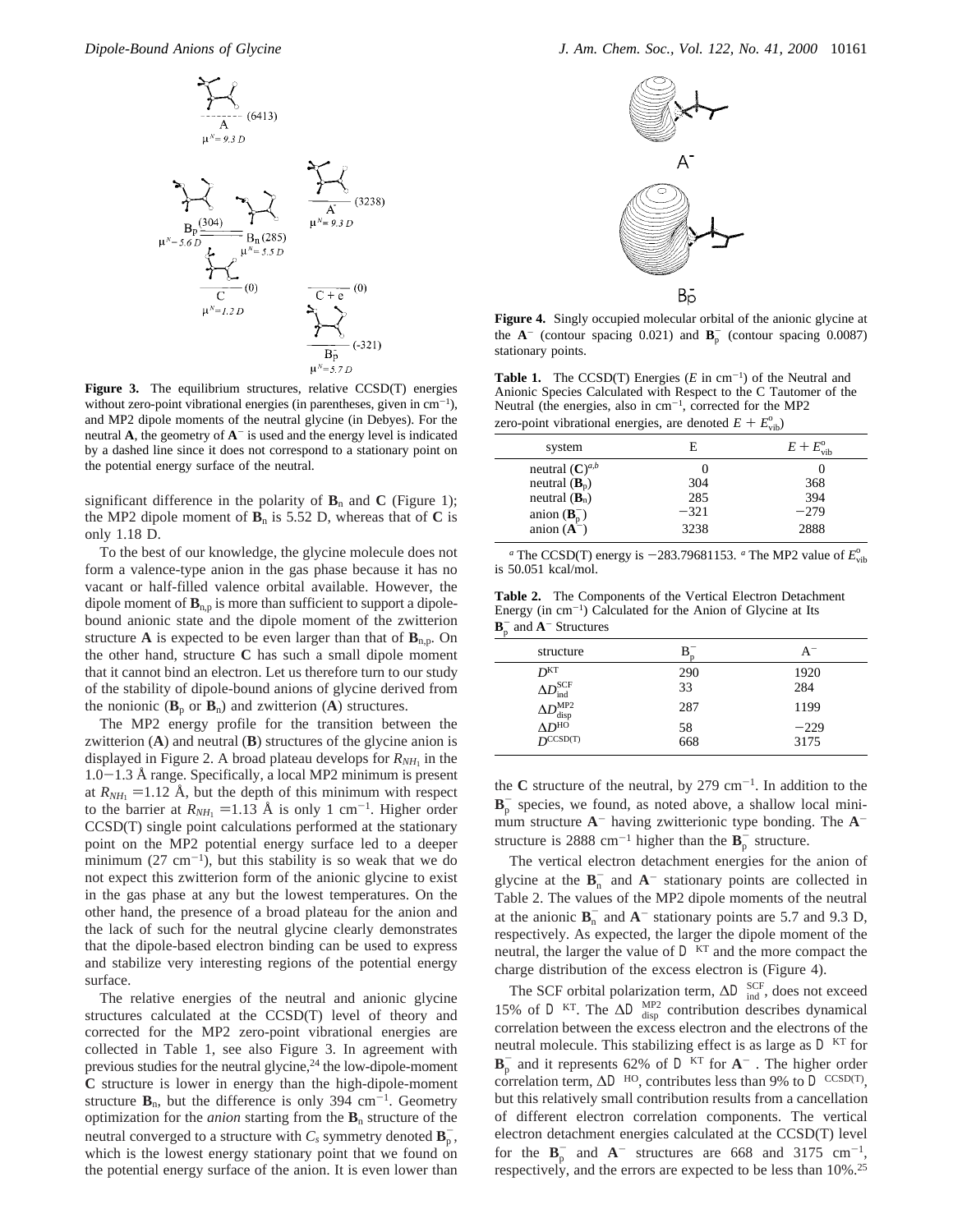

**Figure 3.** The equilibrium structures, relative CCSD(T) energies without zero-point vibrational energies (in parentheses, given in  $cm^{-1}$ ), and MP2 dipole moments of the neutral glycine (in Debyes). For the neutral  $\bf{A}$ , the geometry of  $\bf{A}^-$  is used and the energy level is indicated by a dashed line since it does not correspond to a stationary point on the potential energy surface of the neutral.

significant difference in the polarity of  $\mathbf{B}_n$  and  $\mathbf{C}$  (Figure 1); the MP2 dipole moment of  $\mathbf{B}_n$  is 5.52 D, whereas that of  $\mathbf{C}$  is only 1.18 D.

To the best of our knowledge, the glycine molecule does not form a valence-type anion in the gas phase because it has no vacant or half-filled valence orbital available. However, the dipole moment of  $\mathbf{B}_{n,p}$  is more than sufficient to support a dipolebound anionic state and the dipole moment of the zwitterion structure **A** is expected to be even larger than that of  $\mathbf{B}_{n,p}$ . On the other hand, structure **C** has such a small dipole moment that it cannot bind an electron. Let us therefore turn to our study of the stability of dipole-bound anions of glycine derived from the nonionic  $(\mathbf{B}_p \text{ or } \mathbf{B}_n)$  and zwitterion  $(\mathbf{A})$  structures.

The MP2 energy profile for the transition between the zwitterion (**A**) and neutral (**B**) structures of the glycine anion is displayed in Figure 2. A broad plateau develops for  $R_{NH_1}$  in the 1.0-1.3 Å range. Specifically, a local MP2 minimum is present at  $R_{NH_1}$  =1.12 Å, but the depth of this minimum with respect to the barrier at  $R_{NH_1}$  =1.13 Å is only 1 cm<sup>-1</sup>. Higher order CCSD(T) single point calculations performed at the stationary point on the MP2 potential energy surface led to a deeper minimum  $(27 \text{ cm}^{-1})$ , but this stability is so weak that we do not expect this zwitterion form of the anionic glycine to exist in the gas phase at any but the lowest temperatures. On the other hand, the presence of a broad plateau for the anion and the lack of such for the neutral glycine clearly demonstrates that the dipole-based electron binding can be used to express and stabilize very interesting regions of the potential energy surface.

The relative energies of the neutral and anionic glycine structures calculated at the CCSD(T) level of theory and corrected for the MP2 zero-point vibrational energies are collected in Table 1, see also Figure 3. In agreement with previous studies for the neutral glycine,<sup>24</sup> the low-dipole-moment **C** structure is lower in energy than the high-dipole-moment structure  $\mathbf{B}_n$ , but the difference is only 394 cm<sup>-1</sup>. Geometry optimization for the *anion* starting from the **B**<sup>n</sup> structure of the neutral converged to a structure with  $C_s$  symmetry denoted  $\mathbf{B}_{\rm p}^-$ , which is the lowest energy stationary point that we found on the potential energy surface of the anion. It is even lower than



**Figure 4.** Singly occupied molecular orbital of the anionic glycine at the  $A^-$  (contour spacing 0.021) and  $B_p^-$  (contour spacing 0.0087) stationary points.

**Table 1.** The CCSD(T) Energies  $(E \text{ in cm}^{-1})$  of the Neutral and Anionic Species Calculated with Respect to the C Tautomer of the Neutral (the energies, also in  $cm^{-1}$ , corrected for the MP2 zero-point vibrational energies, are denoted  $E + E_{\text{vib}}^{\circ}$ 

| system                                                          | E      | $E+E_{\rm vib}^{\rm o}$ |
|-----------------------------------------------------------------|--------|-------------------------|
| neutral $(C)^{a,b}$                                             |        |                         |
| neutral $(\mathbf{B}_{p})$                                      | 304    | 368                     |
| neutral $(\mathbf{B}_n)$                                        | 285    | 394                     |
|                                                                 | $-321$ | $-279$                  |
| anion $(\mathbf{B}_{\text{p}}^{-})$<br>anion $(\mathbf{A}^{-})$ | 3238   | 2888                    |

<sup>a</sup> The CCSD(T) energy is  $-283.79681153$ . <sup>a</sup> The MP2 value of  $E_{\text{vib}}^{\circ}$ <br>50.051 kcal/mol. is 50.051 kcal/mol.

**Table 2.** The Components of the Vertical Electron Detachment Energy (in  $cm^{-1}$ ) Calculated for the Anion of Glycine at Its  $\mathbf{B}_{\rm p}^-$  and  $\mathbf{A}^-$  Structures

| structure                                           | в<br>n    | $A^-$  |
|-----------------------------------------------------|-----------|--------|
| D <sup>KT</sup>                                     | 290       | 1920   |
| $\Delta D_{\rm ind}^{\rm SCF}$                      | 33        | 284    |
| $\Delta D_{\rm disp}^{\rm MP2} \ \Delta D^{\rm HO}$ | 287       | 1199   |
|                                                     | 58<br>668 | $-229$ |
| $D^{\text{CCSD(T)}}$                                |           | 3175   |
|                                                     |           |        |

the **C** structure of the neutral, by 279 cm-1. In addition to the  $\mathbf{B}_{p}^{-}$  species, we found, as noted above, a shallow local minimum structure **A**- having zwitterionic type bonding. The **A**structure is 2888 cm<sup>-1</sup> higher than the  $\mathbf{B}_p^-$  structure.

The vertical electron detachment energies for the anion of glycine at the  $\mathbf{B}_n^-$  and  $\mathbf{A}^-$  stationary points are collected in Table 2. The values of the MP2 dipole moments of the neutral at the anionic  $\mathbf{B}_n^-$  and  $\mathbf{A}^-$  stationary points are 5.7 and 9.3 D, respectively. As expected, the larger the dipole moment of the neutral, the larger the value of  $\mathcal{D}^{KT}$  and the more compact the charge distribution of the excess electron is (Figure 4).

The SCF orbital polarization term,  $\Delta \mathcal{D}_{ind}^{SCF}$ , does not exceed 15% of  $\mathcal{D}^{KT}$ . The  $\Delta \mathcal{D}^{MP2}_{disp}$  contribution describes dynamical correlation between the excess electron and the electrons of the neutral molecule. This stabilizing effect is as large as  $\mathcal{D}^{KT}$  for  $\mathbf{B}_{\rm p}$  and it represents 62% of  $\mathcal{D}^{\rm KT}$  for  $\mathbf{A}^-$  . The higher order correlation term,  $\Delta \mathcal{D}^{HO}$ , contributes less than 9% to  $\mathcal{D}^{CCSD(T)}$ , but this relatively small contribution results from a cancellation of different electron correlation components. The vertical electron detachment energies calculated at the CCSD(T) level for the  $\mathbf{B}_{p}^{-}$  and  $\mathbf{A}^{-}$  structures are 668 and 3175 cm<sup>-1</sup>, respectively, and the errors are expected to be less than 10%.25